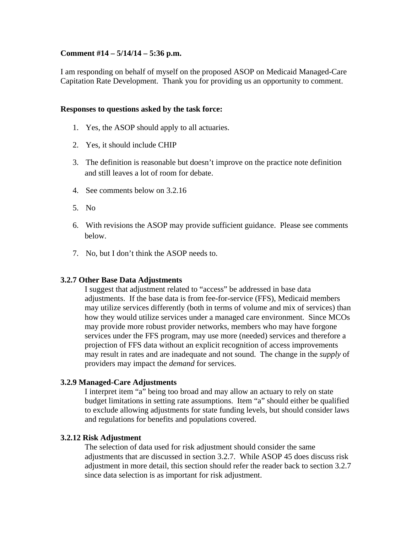# **Comment #14 – 5/14/14 – 5:36 p.m.**

I am responding on behalf of myself on the proposed ASOP on Medicaid Managed-Care Capitation Rate Development. Thank you for providing us an opportunity to comment.

#### **Responses to questions asked by the task force:**

- 1. Yes, the ASOP should apply to all actuaries.
- 2. Yes, it should include CHIP
- 3. The definition is reasonable but doesn't improve on the practice note definition and still leaves a lot of room for debate.
- 4. See comments below on 3.2.16
- 5. No
- 6. With revisions the ASOP may provide sufficient guidance. Please see comments below.
- 7. No, but I don't think the ASOP needs to.

# **3.2.7 Other Base Data Adjustments**

I suggest that adjustment related to "access" be addressed in base data adjustments. If the base data is from fee-for-service (FFS), Medicaid members may utilize services differently (both in terms of volume and mix of services) than how they would utilize services under a managed care environment. Since MCOs may provide more robust provider networks, members who may have forgone services under the FFS program, may use more (needed) services and therefore a projection of FFS data without an explicit recognition of access improvements may result in rates and are inadequate and not sound. The change in the *supply* of providers may impact the *demand* for services.

# **3.2.9 Managed-Care Adjustments**

I interpret item "a" being too broad and may allow an actuary to rely on state budget limitations in setting rate assumptions. Item "a" should either be qualified to exclude allowing adjustments for state funding levels, but should consider laws and regulations for benefits and populations covered.

#### **3.2.12 Risk Adjustment**

The selection of data used for risk adjustment should consider the same adjustments that are discussed in section 3.2.7. While ASOP 45 does discuss risk adjustment in more detail, this section should refer the reader back to section 3.2.7 since data selection is as important for risk adjustment.